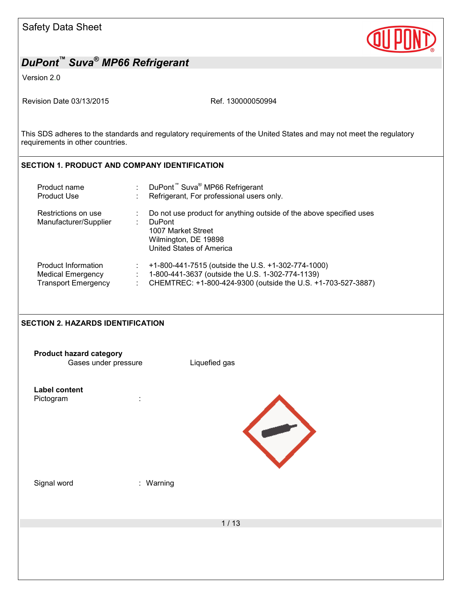| <b>Safety Data Sheet</b> |  |  |
|--------------------------|--|--|
|--------------------------|--|--|



Version 2.0

Revision Date 03/13/2015 Ref. 130000050994

This SDS adheres to the standards and regulatory requirements of the United States and may not meet the regulatory requirements in other countries.

## **SECTION 1. PRODUCT AND COMPANY IDENTIFICATION**

| Product name               | DuPont <sup>™</sup> Suva <sup>®</sup> MP66 Refrigerant              |
|----------------------------|---------------------------------------------------------------------|
| <b>Product Use</b>         | Refrigerant, For professional users only.                           |
| Restrictions on use        | Do not use product for anything outside of the above specified uses |
| Manufacturer/Supplier      | <b>DuPont</b>                                                       |
|                            | 1007 Market Street                                                  |
|                            | Wilmington, DE 19898                                                |
|                            | United States of America                                            |
| Product Information        | +1-800-441-7515 (outside the U.S. +1-302-774-1000)                  |
| <b>Medical Emergency</b>   | 1-800-441-3637 (outside the U.S. 1-302-774-1139)                    |
| <b>Transport Emergency</b> | CHEMTREC: +1-800-424-9300 (outside the U.S. +1-703-527-3887)        |

## **SECTION 2. HAZARDS IDENTIFICATION**

| <b>Product hazard category</b><br>Gases under pressure | Liquefied gas |
|--------------------------------------------------------|---------------|
| <b>Label content</b><br>Pictogram<br>÷                 |               |
| Signal word<br>: Warning                               |               |
|                                                        | $1/13$        |
|                                                        |               |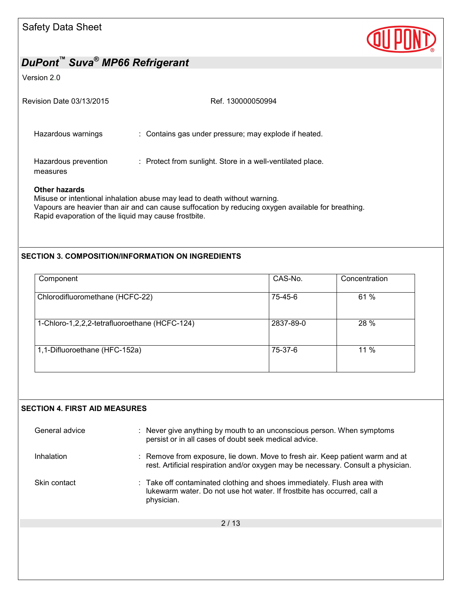

#### Version 2.0

| Revision Date 03/13/2015         | Ref. 130000050994                                          |
|----------------------------------|------------------------------------------------------------|
| Hazardous warnings               | : Contains gas under pressure; may explode if heated.      |
| Hazardous prevention<br>measures | : Protect from sunlight. Store in a well-ventilated place. |
| Other hazards                    |                                                            |

Misuse or intentional inhalation abuse may lead to death without warning. Vapours are heavier than air and can cause suffocation by reducing oxygen available for breathing. Rapid evaporation of the liquid may cause frostbite.

#### **SECTION 3. COMPOSITION/INFORMATION ON INGREDIENTS**

| Component                                     | CAS-No.   | Concentration |
|-----------------------------------------------|-----------|---------------|
| Chlorodifluoromethane (HCFC-22)               | 75-45-6   | 61 %          |
| 1-Chloro-1,2,2,2-tetrafluoroethane (HCFC-124) | 2837-89-0 | 28 %          |
| 1,1-Difluoroethane (HFC-152a)                 | 75-37-6   | 11 %          |

#### **SECTION 4. FIRST AID MEASURES**

| General advice | : Never give anything by mouth to an unconscious person. When symptoms<br>persist or in all cases of doubt seek medical advice.                                    |
|----------------|--------------------------------------------------------------------------------------------------------------------------------------------------------------------|
| Inhalation     | : Remove from exposure, lie down. Move to fresh air. Keep patient warm and at<br>rest. Artificial respiration and/or oxygen may be necessary. Consult a physician. |
| Skin contact   | : Take off contaminated clothing and shoes immediately. Flush area with<br>lukewarm water. Do not use hot water. If frostbite has occurred, call a<br>physician.   |
|                | 2/13                                                                                                                                                               |
|                |                                                                                                                                                                    |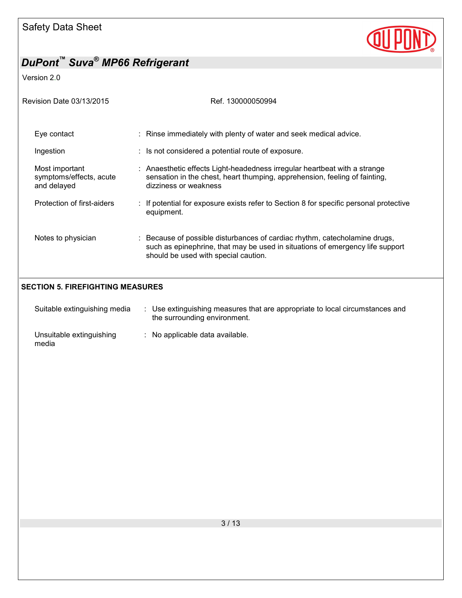

Version 2.0

| Revision Date 03/13/2015                                 | Ref. 130000050994                                                                                                                                                                                   |
|----------------------------------------------------------|-----------------------------------------------------------------------------------------------------------------------------------------------------------------------------------------------------|
| Eye contact                                              | : Rinse immediately with plenty of water and seek medical advice.                                                                                                                                   |
| Ingestion                                                | $\therefore$ Is not considered a potential route of exposure.                                                                                                                                       |
| Most important<br>symptoms/effects, acute<br>and delayed | : Anaesthetic effects Light-headedness irregular heartbeat with a strange<br>sensation in the chest, heart thumping, apprehension, feeling of fainting,<br>dizziness or weakness                    |
| Protection of first-aiders                               | : If potential for exposure exists refer to Section 8 for specific personal protective<br>equipment.                                                                                                |
| Notes to physician                                       | : Because of possible disturbances of cardiac rhythm, catecholamine drugs,<br>such as epinephrine, that may be used in situations of emergency life support<br>should be used with special caution. |
|                                                          |                                                                                                                                                                                                     |

## **SECTION 5. FIREFIGHTING MEASURES**

| Suitable extinguishing media      | Use extinguishing measures that are appropriate to local circumstances and<br>the surrounding environment. |
|-----------------------------------|------------------------------------------------------------------------------------------------------------|
| Unsuitable extinguishing<br>media | : No applicable data available.                                                                            |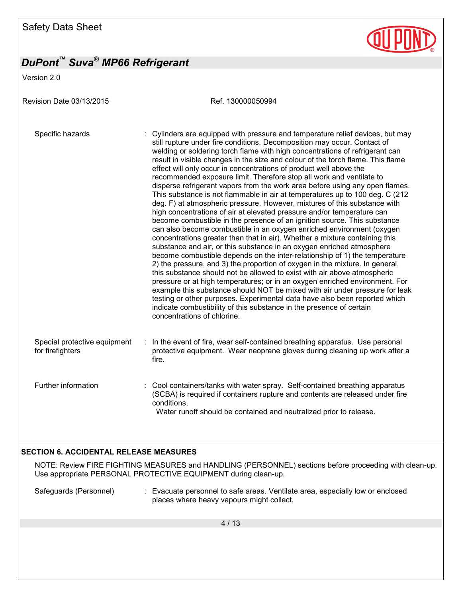Version 2.0

Revision Date 03/13/2015 Ref. 130000050994 Specific hazards : Cylinders are equipped with pressure and temperature relief devices, but may still rupture under fire conditions. Decomposition may occur. Contact of welding or soldering torch flame with high concentrations of refrigerant can result in visible changes in the size and colour of the torch flame. This flame effect will only occur in concentrations of product well above the recommended exposure limit. Therefore stop all work and ventilate to disperse refrigerant vapors from the work area before using any open flames. This substance is not flammable in air at temperatures up to 100 deg. C (212 deg. F) at atmospheric pressure. However, mixtures of this substance with high concentrations of air at elevated pressure and/or temperature can become combustible in the presence of an ignition source. This substance can also become combustible in an oxygen enriched environment (oxygen concentrations greater than that in air). Whether a mixture containing this substance and air, or this substance in an oxygen enriched atmosphere become combustible depends on the inter-relationship of 1) the temperature 2) the pressure, and 3) the proportion of oxygen in the mixture. In general, this substance should not be allowed to exist with air above atmospheric pressure or at high temperatures; or in an oxygen enriched environment. For example this substance should NOT be mixed with air under pressure for leak testing or other purposes. Experimental data have also been reported which indicate combustibility of this substance in the presence of certain concentrations of chlorine. Special protective equipment for firefighters : In the event of fire, wear self-contained breathing apparatus. Use personal protective equipment. Wear neoprene gloves during cleaning up work after a fire. Further information : Cool containers/tanks with water spray. Self-contained breathing apparatus (SCBA) is required if containers rupture and contents are released under fire conditions. Water runoff should be contained and neutralized prior to release. **SECTION 6. ACCIDENTAL RELEASE MEASURES** 

NOTE: Review FIRE FIGHTING MEASURES and HANDLING (PERSONNEL) sections before proceeding with clean-up. Use appropriate PERSONAL PROTECTIVE EQUIPMENT during clean-up.

Safeguards (Personnel) : Evacuate personnel to safe areas. Ventilate area, especially low or enclosed places where heavy vapours might collect.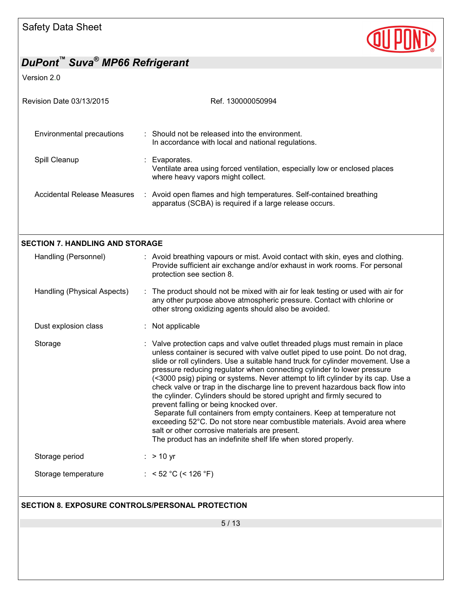

Version 2.0

| Revision Date 03/13/2015                                | Ref. 130000050994                                                                                                                                                                                                                                                                                                                                                                                                                                                                                                                                                                                                                                                                                                                                                                                                                                                                                |
|---------------------------------------------------------|--------------------------------------------------------------------------------------------------------------------------------------------------------------------------------------------------------------------------------------------------------------------------------------------------------------------------------------------------------------------------------------------------------------------------------------------------------------------------------------------------------------------------------------------------------------------------------------------------------------------------------------------------------------------------------------------------------------------------------------------------------------------------------------------------------------------------------------------------------------------------------------------------|
| Environmental precautions                               | : Should not be released into the environment.<br>In accordance with local and national regulations.                                                                                                                                                                                                                                                                                                                                                                                                                                                                                                                                                                                                                                                                                                                                                                                             |
| Spill Cleanup                                           | : Evaporates.<br>Ventilate area using forced ventilation, especially low or enclosed places<br>where heavy vapors might collect.                                                                                                                                                                                                                                                                                                                                                                                                                                                                                                                                                                                                                                                                                                                                                                 |
| <b>Accidental Release Measures</b>                      | : Avoid open flames and high temperatures. Self-contained breathing<br>apparatus (SCBA) is required if a large release occurs.                                                                                                                                                                                                                                                                                                                                                                                                                                                                                                                                                                                                                                                                                                                                                                   |
|                                                         |                                                                                                                                                                                                                                                                                                                                                                                                                                                                                                                                                                                                                                                                                                                                                                                                                                                                                                  |
| <b>SECTION 7. HANDLING AND STORAGE</b>                  |                                                                                                                                                                                                                                                                                                                                                                                                                                                                                                                                                                                                                                                                                                                                                                                                                                                                                                  |
| Handling (Personnel)                                    | : Avoid breathing vapours or mist. Avoid contact with skin, eyes and clothing.<br>Provide sufficient air exchange and/or exhaust in work rooms. For personal<br>protection see section 8.                                                                                                                                                                                                                                                                                                                                                                                                                                                                                                                                                                                                                                                                                                        |
| Handling (Physical Aspects)                             | : The product should not be mixed with air for leak testing or used with air for<br>any other purpose above atmospheric pressure. Contact with chlorine or<br>other strong oxidizing agents should also be avoided.                                                                                                                                                                                                                                                                                                                                                                                                                                                                                                                                                                                                                                                                              |
| Dust explosion class                                    | : Not applicable                                                                                                                                                                                                                                                                                                                                                                                                                                                                                                                                                                                                                                                                                                                                                                                                                                                                                 |
| Storage                                                 | : Valve protection caps and valve outlet threaded plugs must remain in place<br>unless container is secured with valve outlet piped to use point. Do not drag,<br>slide or roll cylinders. Use a suitable hand truck for cylinder movement. Use a<br>pressure reducing regulator when connecting cylinder to lower pressure<br>(<3000 psig) piping or systems. Never attempt to lift cylinder by its cap. Use a<br>check valve or trap in the discharge line to prevent hazardous back flow into<br>the cylinder. Cylinders should be stored upright and firmly secured to<br>prevent falling or being knocked over.<br>Separate full containers from empty containers. Keep at temperature not<br>exceeding 52°C. Do not store near combustible materials. Avoid area where<br>salt or other corrosive materials are present.<br>The product has an indefinite shelf life when stored properly. |
| Storage period                                          | $:$ > 10 yr                                                                                                                                                                                                                                                                                                                                                                                                                                                                                                                                                                                                                                                                                                                                                                                                                                                                                      |
| Storage temperature                                     | : < 52 °C (< 126 °F)                                                                                                                                                                                                                                                                                                                                                                                                                                                                                                                                                                                                                                                                                                                                                                                                                                                                             |
| <b>SECTION 8. EXPOSURE CONTROLS/PERSONAL PROTECTION</b> |                                                                                                                                                                                                                                                                                                                                                                                                                                                                                                                                                                                                                                                                                                                                                                                                                                                                                                  |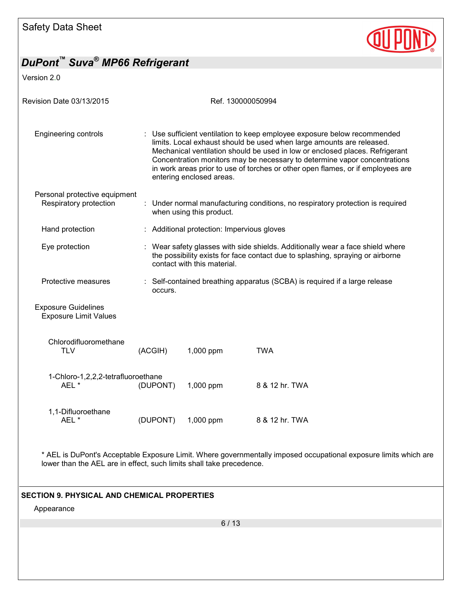

Version 2.0

| <b>Revision Date 03/13/2015</b>                            |                                                                                                                                                                                                                                                                                                                                                                                                                               | Ref. 130000050994                          |                                                                                                                                                                  |  |  |
|------------------------------------------------------------|-------------------------------------------------------------------------------------------------------------------------------------------------------------------------------------------------------------------------------------------------------------------------------------------------------------------------------------------------------------------------------------------------------------------------------|--------------------------------------------|------------------------------------------------------------------------------------------------------------------------------------------------------------------|--|--|
| <b>Engineering controls</b>                                | : Use sufficient ventilation to keep employee exposure below recommended<br>limits. Local exhaust should be used when large amounts are released.<br>Mechanical ventilation should be used in low or enclosed places. Refrigerant<br>Concentration monitors may be necessary to determine vapor concentrations<br>in work areas prior to use of torches or other open flames, or if employees are<br>entering enclosed areas. |                                            |                                                                                                                                                                  |  |  |
| Personal protective equipment<br>Respiratory protection    |                                                                                                                                                                                                                                                                                                                                                                                                                               | when using this product.                   | : Under normal manufacturing conditions, no respiratory protection is required                                                                                   |  |  |
| Hand protection                                            |                                                                                                                                                                                                                                                                                                                                                                                                                               | : Additional protection: Impervious gloves |                                                                                                                                                                  |  |  |
| Eye protection                                             |                                                                                                                                                                                                                                                                                                                                                                                                                               | contact with this material.                | : Wear safety glasses with side shields. Additionally wear a face shield where<br>the possibility exists for face contact due to splashing, spraying or airborne |  |  |
| Protective measures                                        | occurs.                                                                                                                                                                                                                                                                                                                                                                                                                       |                                            | : Self-contained breathing apparatus (SCBA) is required if a large release                                                                                       |  |  |
| <b>Exposure Guidelines</b><br><b>Exposure Limit Values</b> |                                                                                                                                                                                                                                                                                                                                                                                                                               |                                            |                                                                                                                                                                  |  |  |
| Chlorodifluoromethane<br><b>TLV</b>                        | (ACGIH)                                                                                                                                                                                                                                                                                                                                                                                                                       | 1,000 ppm                                  | <b>TWA</b>                                                                                                                                                       |  |  |
| 1-Chloro-1,2,2,2-tetrafluoroethane<br>AEL*                 | (DUPONT)                                                                                                                                                                                                                                                                                                                                                                                                                      | 1,000 ppm                                  | 8 & 12 hr. TWA                                                                                                                                                   |  |  |
| 1,1-Difluoroethane<br>AEL*                                 | (DUPONT)                                                                                                                                                                                                                                                                                                                                                                                                                      | 1,000 ppm                                  | 8 & 12 hr. TWA                                                                                                                                                   |  |  |
|                                                            |                                                                                                                                                                                                                                                                                                                                                                                                                               |                                            |                                                                                                                                                                  |  |  |

\* AEL is DuPont's Acceptable Exposure Limit. Where governmentally imposed occupational exposure limits which are lower than the AEL are in effect, such limits shall take precedence.

### **SECTION 9. PHYSICAL AND CHEMICAL PROPERTIES**

Appearance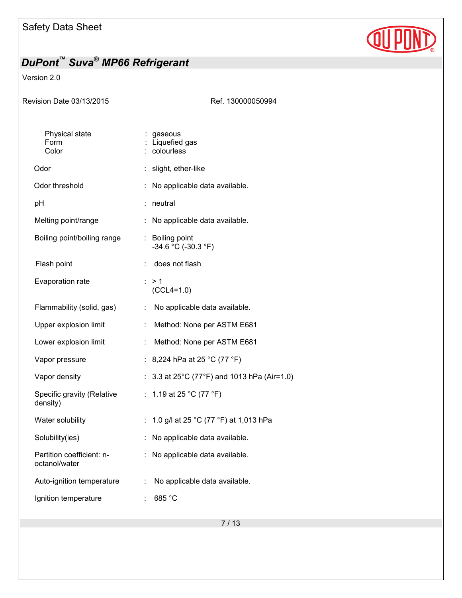

## Version 2.0

| <b>Revision Date 03/13/2015</b> |  |
|---------------------------------|--|
|---------------------------------|--|

Ref. 130000050994

| Physical state<br>Form<br>Color            | gaseous<br>Liquefied gas<br>colourless                  |
|--------------------------------------------|---------------------------------------------------------|
| Odor                                       | slight, ether-like<br>t.                                |
| Odor threshold                             | No applicable data available.                           |
| рH                                         | neutral<br>İ,                                           |
| Melting point/range                        | ÷<br>No applicable data available.                      |
| Boiling point/boiling range                | <b>Boiling point</b><br>÷<br>$-34.6$ °C ( $-30.3$ °F)   |
| Flash point                                | does not flash<br>÷                                     |
| Evaporation rate                           | : > 1<br>$(CCL4=1.0)$                                   |
| Flammability (solid, gas)                  | No applicable data available.<br>÷                      |
| Upper explosion limit                      | Method: None per ASTM E681<br>÷                         |
| Lower explosion limit                      | Method: None per ASTM E681<br>÷                         |
| Vapor pressure                             | : 8,224 hPa at 25 °C (77 °F)                            |
| Vapor density                              | 3.3 at 25°C (77°F) and 1013 hPa (Air=1.0)               |
| Specific gravity (Relative<br>density)     | 1.19 at 25 °C (77 °F)<br>t.                             |
| Water solubility                           | 1.0 g/l at 25 °C (77 °F) at 1,013 hPa<br>$\ddot{\cdot}$ |
| Solubility(ies)                            | No applicable data available.<br>t,                     |
| Partition coefficient: n-<br>octanol/water | No applicable data available.<br>÷                      |
| Auto-ignition temperature                  | No applicable data available.<br>÷.                     |
| Ignition temperature                       | 685 °C<br>t                                             |
|                                            |                                                         |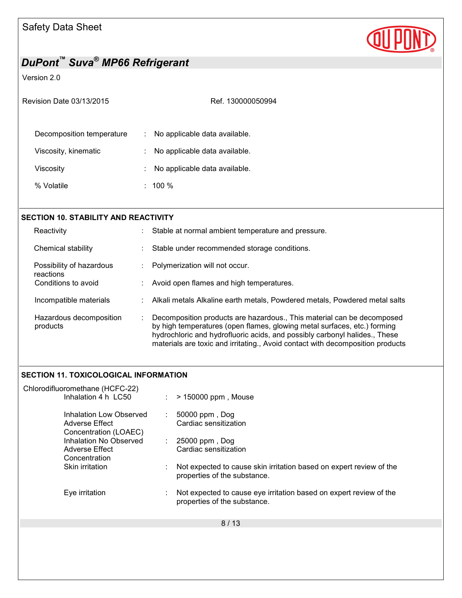

## Version 2.0

| Revision Date 03/13/2015 |  |
|--------------------------|--|
|                          |  |

Ref. 130000050994

| Decomposition temperature | : No applicable data available. |
|---------------------------|---------------------------------|
| Viscosity, kinematic      | : No applicable data available. |
| Viscosity                 | : No applicable data available. |
| % Volatile                | $: 100 \%$                      |

| <b>SECTION 10. STABILITY AND REACTIVITY</b> |   |                                                                                                                                                                                                                                                                                                                    |
|---------------------------------------------|---|--------------------------------------------------------------------------------------------------------------------------------------------------------------------------------------------------------------------------------------------------------------------------------------------------------------------|
| Reactivity                                  |   | Stable at normal ambient temperature and pressure.                                                                                                                                                                                                                                                                 |
| Chemical stability                          |   | Stable under recommended storage conditions.                                                                                                                                                                                                                                                                       |
| Possibility of hazardous<br>reactions       |   | Polymerization will not occur.                                                                                                                                                                                                                                                                                     |
| Conditions to avoid                         |   | : Avoid open flames and high temperatures.                                                                                                                                                                                                                                                                         |
| Incompatible materials                      |   | Alkali metals Alkaline earth metals, Powdered metals, Powdered metal salts                                                                                                                                                                                                                                         |
| Hazardous decomposition<br>products         | ÷ | Decomposition products are hazardous., This material can be decomposed<br>by high temperatures (open flames, glowing metal surfaces, etc.) forming<br>hydrochloric and hydrofluoric acids, and possibly carbonyl halides., These<br>materials are toxic and irritating., Avoid contact with decomposition products |

## **SECTION 11. TOXICOLOGICAL INFORMATION**

| Chlorodifluoromethane (HCFC-22)                                    |                                                                                                     |
|--------------------------------------------------------------------|-----------------------------------------------------------------------------------------------------|
| Inhalation 4 h LC50                                                | > 150000 ppm, Mouse                                                                                 |
| Inhalation Low Observed<br>Adverse Effect<br>Concentration (LOAEC) | 50000 ppm, Dog<br>÷<br>Cardiac sensitization                                                        |
| Inhalation No Observed                                             | 25000 ppm, Dog<br>÷.                                                                                |
| Adverse Effect                                                     | Cardiac sensitization                                                                               |
| Concentration                                                      |                                                                                                     |
| Skin irritation                                                    | Not expected to cause skin irritation based on expert review of the<br>properties of the substance. |
| Eye irritation                                                     | Not expected to cause eye irritation based on expert review of the<br>properties of the substance.  |
|                                                                    | 8/13                                                                                                |
|                                                                    |                                                                                                     |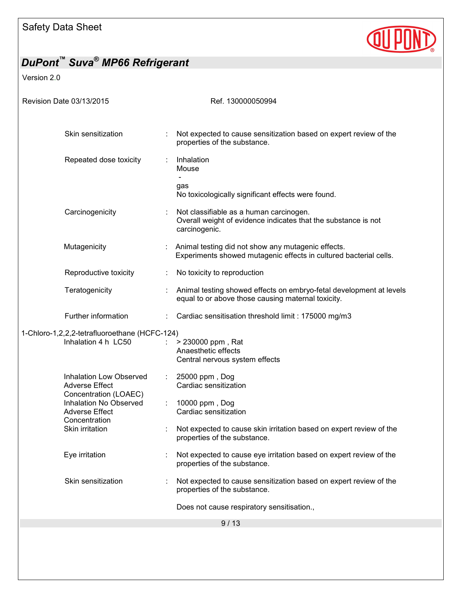

| DuPont™ Suva <sup>®</sup> MP66 Refrigerant                                                                                                   |                         |                                                                                                                                                           |
|----------------------------------------------------------------------------------------------------------------------------------------------|-------------------------|-----------------------------------------------------------------------------------------------------------------------------------------------------------|
| Version 2.0                                                                                                                                  |                         |                                                                                                                                                           |
| Revision Date 03/13/2015                                                                                                                     |                         | Ref. 130000050994                                                                                                                                         |
| Skin sensitization                                                                                                                           |                         | Not expected to cause sensitization based on expert review of the<br>properties of the substance.                                                         |
| Repeated dose toxicity                                                                                                                       |                         | Inhalation<br>Mouse<br>gas<br>No toxicologically significant effects were found.                                                                          |
| Carcinogenicity                                                                                                                              |                         | Not classifiable as a human carcinogen.<br>Overall weight of evidence indicates that the substance is not<br>carcinogenic.                                |
| Mutagenicity                                                                                                                                 |                         | Animal testing did not show any mutagenic effects.<br>Experiments showed mutagenic effects in cultured bacterial cells.                                   |
| Reproductive toxicity                                                                                                                        |                         | No toxicity to reproduction                                                                                                                               |
| Teratogenicity                                                                                                                               |                         | Animal testing showed effects on embryo-fetal development at levels<br>equal to or above those causing maternal toxicity.                                 |
| Further information                                                                                                                          |                         | Cardiac sensitisation threshold limit: 175000 mg/m3                                                                                                       |
| 1-Chloro-1,2,2,2-tetrafluoroethane (HCFC-124)<br>Inhalation 4 h LC50                                                                         |                         | > 230000 ppm, Rat<br>Anaesthetic effects<br>Central nervous system effects                                                                                |
| <b>Adverse Effect</b><br>Concentration (LOAEC)<br><b>Inhalation No Observed</b><br><b>Adverse Effect</b><br>Concentration<br>Skin irritation | Inhalation Low Observed | 25000 ppm, Dog<br>Cardiac sensitization<br>10000 ppm, Dog<br>Cardiac sensitization<br>Not expected to cause skin irritation based on expert review of the |
| Eye irritation                                                                                                                               |                         | properties of the substance.<br>Not expected to cause eye irritation based on expert review of the<br>properties of the substance.                        |
| Skin sensitization                                                                                                                           |                         | Not expected to cause sensitization based on expert review of the<br>properties of the substance.                                                         |
|                                                                                                                                              |                         | Does not cause respiratory sensitisation.,                                                                                                                |
|                                                                                                                                              |                         | 9/13                                                                                                                                                      |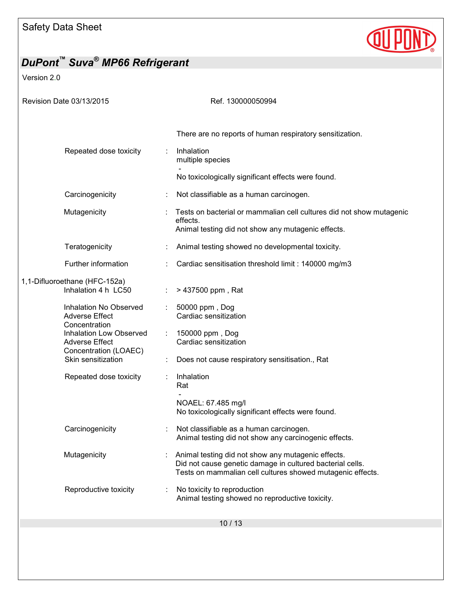

| DuPont <sup>™</sup> Suva <sup>®</sup> MP66 Refrigerant                                |                                                                                               |                                                                                                                                                                               |
|---------------------------------------------------------------------------------------|-----------------------------------------------------------------------------------------------|-------------------------------------------------------------------------------------------------------------------------------------------------------------------------------|
| Version 2.0                                                                           |                                                                                               |                                                                                                                                                                               |
| Revision Date 03/13/2015                                                              |                                                                                               | Ref. 130000050994                                                                                                                                                             |
|                                                                                       | Repeated dose toxicity                                                                        | There are no reports of human respiratory sensitization.<br>Inhalation<br>multiple species                                                                                    |
|                                                                                       |                                                                                               | No toxicologically significant effects were found.                                                                                                                            |
| Carcinogenicity                                                                       |                                                                                               | Not classifiable as a human carcinogen.                                                                                                                                       |
| Mutagenicity                                                                          |                                                                                               | Tests on bacterial or mammalian cell cultures did not show mutagenic<br>effects.<br>Animal testing did not show any mutagenic effects.                                        |
| Teratogenicity                                                                        |                                                                                               | Animal testing showed no developmental toxicity.                                                                                                                              |
| Further information                                                                   |                                                                                               | Cardiac sensitisation threshold limit : 140000 mg/m3                                                                                                                          |
| 1,1-Difluoroethane (HFC-152a)                                                         | Inhalation 4 h LC50                                                                           | > 437500 ppm, Rat                                                                                                                                                             |
| <b>Adverse Effect</b><br>Concentration<br><b>Adverse Effect</b><br>Skin sensitization | Inhalation No Observed<br>÷.<br><b>Inhalation Low Observed</b><br>÷.<br>Concentration (LOAEC) | 50000 ppm, Dog<br>Cardiac sensitization<br>150000 ppm, Dog<br>Cardiac sensitization<br>Does not cause respiratory sensitisation., Rat                                         |
|                                                                                       | Repeated dose toxicity                                                                        | Inhalation<br>Rat<br>NOAEL: 67.485 mg/l<br>No toxicologically significant effects were found.                                                                                 |
| Carcinogenicity                                                                       |                                                                                               | Not classifiable as a human carcinogen.<br>Animal testing did not show any carcinogenic effects.                                                                              |
| Mutagenicity                                                                          |                                                                                               | Animal testing did not show any mutagenic effects.<br>Did not cause genetic damage in cultured bacterial cells.<br>Tests on mammalian cell cultures showed mutagenic effects. |
|                                                                                       | Reproductive toxicity                                                                         | No toxicity to reproduction<br>Animal testing showed no reproductive toxicity.                                                                                                |
|                                                                                       |                                                                                               | 10/13                                                                                                                                                                         |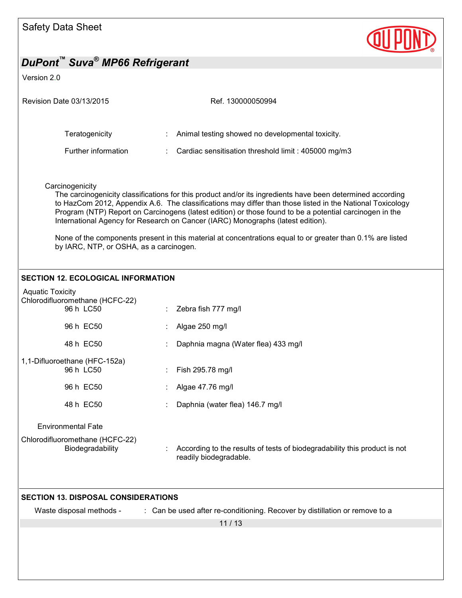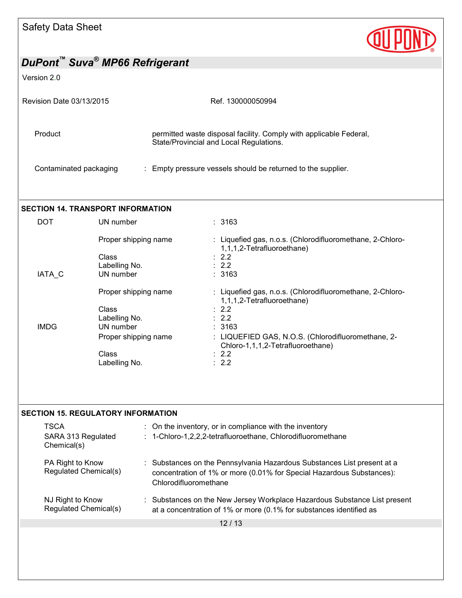

#### Version 2.0

| Revision Date 03/13/2015 | Ref. 130000050994                                                                                             |  |
|--------------------------|---------------------------------------------------------------------------------------------------------------|--|
| Product                  | permitted waste disposal facility. Comply with applicable Federal,<br>State/Provincial and Local Regulations. |  |
| Contaminated packaging   | : Empty pressure vessels should be returned to the supplier.                                                  |  |

## **SECTION 14. TRANSPORT INFORMATION**

| DOT         | UN number            | : 3163                                                                                  |
|-------------|----------------------|-----------------------------------------------------------------------------------------|
|             | Proper shipping name | : Liquefied gas, n.o.s. (Chlorodifluoromethane, 2-Chloro-<br>1,1,1,2-Tetrafluoroethane) |
|             | Class                | $\therefore$ 2.2                                                                        |
|             | Labelling No.        | $\therefore$ 2.2                                                                        |
| IATA C      | UN number            | :3163                                                                                   |
|             | Proper shipping name | : Liquefied gas, n.o.s. (Chlorodifluoromethane, 2-Chloro-<br>1,1,1,2-Tetrafluoroethane) |
|             | Class                | $\therefore$ 2.2                                                                        |
|             | Labelling No.        | $\therefore$ 2.2                                                                        |
| <b>IMDG</b> | UN number            | : 3163                                                                                  |
|             | Proper shipping name | : LIQUEFIED GAS, N.O.S. (Chlorodifluoromethane, 2-<br>Chloro-1,1,1,2-Tetrafluoroethane) |
|             | Class                | $\therefore$ 2.2                                                                        |
|             | Labelling No.        | $\therefore$ 2.2                                                                        |

#### **SECTION 15. REGULATORY INFORMATION**

| TSCA<br>SARA 313 Regulated<br>Chemical(s) | : On the inventory, or in compliance with the inventory<br>: 1-Chloro-1,2,2,2-tetrafluoroethane, Chlorodifluoromethane                                                    |
|-------------------------------------------|---------------------------------------------------------------------------------------------------------------------------------------------------------------------------|
| PA Right to Know<br>Regulated Chemical(s) | : Substances on the Pennsylvania Hazardous Substances List present at a<br>concentration of 1% or more (0.01% for Special Hazardous Substances):<br>Chlorodifluoromethane |
| NJ Right to Know<br>Regulated Chemical(s) | : Substances on the New Jersey Workplace Hazardous Substance List present<br>at a concentration of 1% or more (0.1% for substances identified as                          |
|                                           | 12 / 13                                                                                                                                                                   |